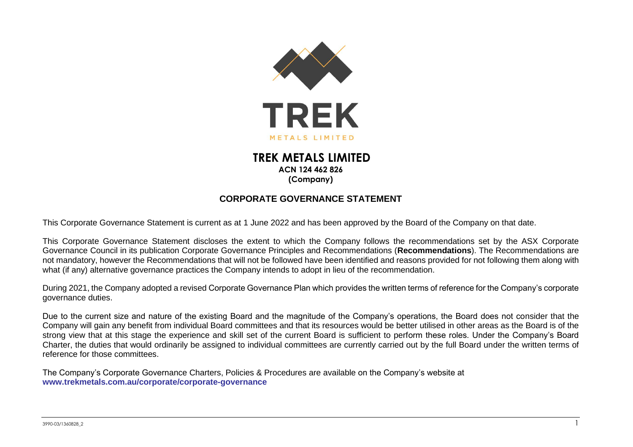

## **TREK METALS LIMITED ACN 124 462 826 (Company)**

## **CORPORATE GOVERNANCE STATEMENT**

This Corporate Governance Statement is current as at 1 June 2022 and has been approved by the Board of the Company on that date.

This Corporate Governance Statement discloses the extent to which the Company follows the recommendations set by the ASX Corporate Governance Council in its publication Corporate Governance Principles and Recommendations (**Recommendations**). The Recommendations are not mandatory, however the Recommendations that will not be followed have been identified and reasons provided for not following them along with what (if any) alternative governance practices the Company intends to adopt in lieu of the recommendation.

During 2021, the Company adopted a revised Corporate Governance Plan which provides the written terms of reference for the Company's corporate governance duties.

Due to the current size and nature of the existing Board and the magnitude of the Company's operations, the Board does not consider that the Company will gain any benefit from individual Board committees and that its resources would be better utilised in other areas as the Board is of the strong view that at this stage the experience and skill set of the current Board is sufficient to perform these roles. Under the Company's Board Charter, the duties that would ordinarily be assigned to individual committees are currently carried out by the full Board under the written terms of reference for those committees.

The Company's Corporate Governance Charters, Policies & Procedures are available on the Company's website at **[www.trekmetals.com.au/corporate/corporate-governance](http://www.trekmetals.com.au/corporate/corporate-governance)**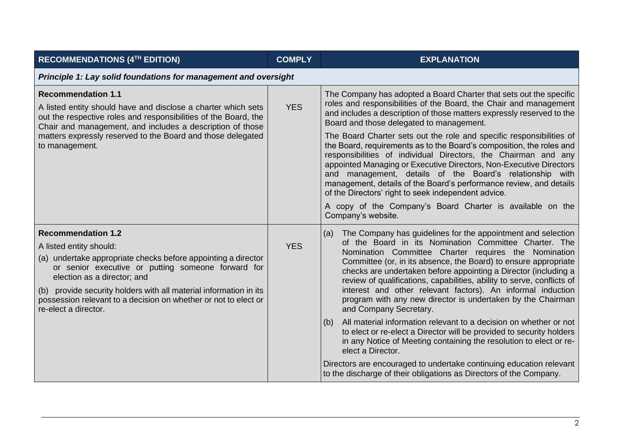| RECOMMENDATIONS (4TH EDITION)                                                                                                                                                                                                                                                                                                                                              | <b>COMPLY</b> | <b>EXPLANATION</b>                                                                                                                                                                                                                                                                                                                                                                                                                                                                                                                                           |  |  |  |
|----------------------------------------------------------------------------------------------------------------------------------------------------------------------------------------------------------------------------------------------------------------------------------------------------------------------------------------------------------------------------|---------------|--------------------------------------------------------------------------------------------------------------------------------------------------------------------------------------------------------------------------------------------------------------------------------------------------------------------------------------------------------------------------------------------------------------------------------------------------------------------------------------------------------------------------------------------------------------|--|--|--|
| Principle 1: Lay solid foundations for management and oversight                                                                                                                                                                                                                                                                                                            |               |                                                                                                                                                                                                                                                                                                                                                                                                                                                                                                                                                              |  |  |  |
| <b>Recommendation 1.1</b><br>A listed entity should have and disclose a charter which sets<br>out the respective roles and responsibilities of the Board, the<br>Chair and management, and includes a description of those                                                                                                                                                 | <b>YES</b>    | The Company has adopted a Board Charter that sets out the specific<br>roles and responsibilities of the Board, the Chair and management<br>and includes a description of those matters expressly reserved to the<br>Board and those delegated to management.                                                                                                                                                                                                                                                                                                 |  |  |  |
| matters expressly reserved to the Board and those delegated<br>to management.                                                                                                                                                                                                                                                                                              |               | The Board Charter sets out the role and specific responsibilities of<br>the Board, requirements as to the Board's composition, the roles and<br>responsibilities of individual Directors, the Chairman and any<br>appointed Managing or Executive Directors, Non-Executive Directors<br>and management, details of the Board's relationship with<br>management, details of the Board's performance review, and details<br>of the Directors' right to seek independent advice.                                                                                |  |  |  |
|                                                                                                                                                                                                                                                                                                                                                                            |               | A copy of the Company's Board Charter is available on the<br>Company's website.                                                                                                                                                                                                                                                                                                                                                                                                                                                                              |  |  |  |
| <b>Recommendation 1.2</b><br>A listed entity should:<br>(a) undertake appropriate checks before appointing a director<br>or senior executive or putting someone forward for<br>election as a director; and<br>(b) provide security holders with all material information in its<br>possession relevant to a decision on whether or not to elect or<br>re-elect a director. | <b>YES</b>    | The Company has guidelines for the appointment and selection<br>(a)<br>of the Board in its Nomination Committee Charter. The<br>Nomination Committee Charter requires the Nomination<br>Committee (or, in its absence, the Board) to ensure appropriate<br>checks are undertaken before appointing a Director (including a<br>review of qualifications, capabilities, ability to serve, conflicts of<br>interest and other relevant factors). An informal induction<br>program with any new director is undertaken by the Chairman<br>and Company Secretary. |  |  |  |
|                                                                                                                                                                                                                                                                                                                                                                            |               | All material information relevant to a decision on whether or not<br>(b)<br>to elect or re-elect a Director will be provided to security holders<br>in any Notice of Meeting containing the resolution to elect or re-<br>elect a Director.                                                                                                                                                                                                                                                                                                                  |  |  |  |
|                                                                                                                                                                                                                                                                                                                                                                            |               | Directors are encouraged to undertake continuing education relevant<br>to the discharge of their obligations as Directors of the Company.                                                                                                                                                                                                                                                                                                                                                                                                                    |  |  |  |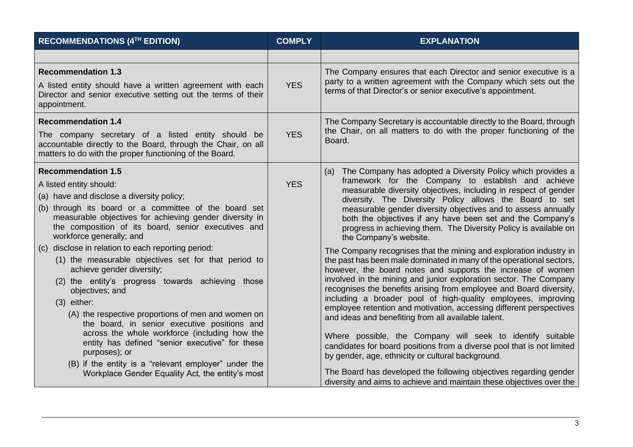| RECOMMENDATIONS (4TH EDITION)                                                                                                                                                                                                                                                                                                                                                                                                                                                                                                                                                                                                                                                                          | <b>COMPLY</b> | <b>EXPLANATION</b>                                                                                                                                                                                                                                                                                                                                                                                                                                                                                                                                                                                                                                                                                                                                                                                                                                                                                                                                                                                                                      |
|--------------------------------------------------------------------------------------------------------------------------------------------------------------------------------------------------------------------------------------------------------------------------------------------------------------------------------------------------------------------------------------------------------------------------------------------------------------------------------------------------------------------------------------------------------------------------------------------------------------------------------------------------------------------------------------------------------|---------------|-----------------------------------------------------------------------------------------------------------------------------------------------------------------------------------------------------------------------------------------------------------------------------------------------------------------------------------------------------------------------------------------------------------------------------------------------------------------------------------------------------------------------------------------------------------------------------------------------------------------------------------------------------------------------------------------------------------------------------------------------------------------------------------------------------------------------------------------------------------------------------------------------------------------------------------------------------------------------------------------------------------------------------------------|
|                                                                                                                                                                                                                                                                                                                                                                                                                                                                                                                                                                                                                                                                                                        |               |                                                                                                                                                                                                                                                                                                                                                                                                                                                                                                                                                                                                                                                                                                                                                                                                                                                                                                                                                                                                                                         |
| <b>Recommendation 1.3</b><br>A listed entity should have a written agreement with each<br>Director and senior executive setting out the terms of their<br>appointment.                                                                                                                                                                                                                                                                                                                                                                                                                                                                                                                                 | <b>YES</b>    | The Company ensures that each Director and senior executive is a<br>party to a written agreement with the Company which sets out the<br>terms of that Director's or senior executive's appointment.                                                                                                                                                                                                                                                                                                                                                                                                                                                                                                                                                                                                                                                                                                                                                                                                                                     |
| <b>Recommendation 1.4</b><br>The company secretary of a listed entity should be<br>accountable directly to the Board, through the Chair, on all<br>matters to do with the proper functioning of the Board.                                                                                                                                                                                                                                                                                                                                                                                                                                                                                             | <b>YES</b>    | The Company Secretary is accountable directly to the Board, through<br>the Chair, on all matters to do with the proper functioning of the<br>Board.                                                                                                                                                                                                                                                                                                                                                                                                                                                                                                                                                                                                                                                                                                                                                                                                                                                                                     |
| <b>Recommendation 1.5</b><br>A listed entity should:<br>(a) have and disclose a diversity policy;<br>(b) through its board or a committee of the board set<br>measurable objectives for achieving gender diversity in<br>the composition of its board, senior executives and<br>workforce generally; and<br>disclose in relation to each reporting period:<br>(c)<br>(1) the measurable objectives set for that period to<br>achieve gender diversity;<br>(2) the entity's progress towards achieving those<br>objectives; and<br>$(3)$ either:<br>(A) the respective proportions of men and women on<br>the board, in senior executive positions and<br>across the whole workforce (including how the | <b>YES</b>    | (a) The Company has adopted a Diversity Policy which provides a<br>framework for the Company to establish and achieve<br>measurable diversity objectives, including in respect of gender<br>diversity. The Diversity Policy allows the Board to set<br>measurable gender diversity objectives and to assess annually<br>both the objectives if any have been set and the Company's<br>progress in achieving them. The Diversity Policy is available on<br>the Company's website.<br>The Company recognises that the mining and exploration industry in<br>the past has been male dominated in many of the operational sectors,<br>however, the board notes and supports the increase of women<br>involved in the mining and junior exploration sector. The Company<br>recognises the benefits arising from employee and Board diversity,<br>including a broader pool of high-quality employees, improving<br>employee retention and motivation, accessing different perspectives<br>and ideas and benefiting from all available talent. |
| entity has defined "senior executive" for these<br>purposes); or<br>(B) if the entity is a "relevant employer" under the<br>Workplace Gender Equality Act, the entity's most                                                                                                                                                                                                                                                                                                                                                                                                                                                                                                                           |               | Where possible, the Company will seek to identify suitable<br>candidates for board positions from a diverse pool that is not limited<br>by gender, age, ethnicity or cultural background.<br>The Board has developed the following objectives regarding gender<br>diversity and aims to achieve and maintain these objectives over the                                                                                                                                                                                                                                                                                                                                                                                                                                                                                                                                                                                                                                                                                                  |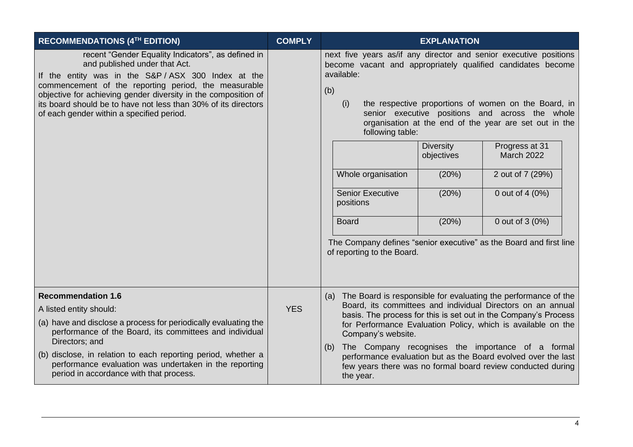| RECOMMENDATIONS (4TH EDITION)                                                                                                                                                                                                                                                                                                                                                     | <b>COMPLY</b> | <b>EXPLANATION</b>                                                                                                                                                                                                                                                                                                                                                                                                                                                                                                                                                                                                                                                                                    |
|-----------------------------------------------------------------------------------------------------------------------------------------------------------------------------------------------------------------------------------------------------------------------------------------------------------------------------------------------------------------------------------|---------------|-------------------------------------------------------------------------------------------------------------------------------------------------------------------------------------------------------------------------------------------------------------------------------------------------------------------------------------------------------------------------------------------------------------------------------------------------------------------------------------------------------------------------------------------------------------------------------------------------------------------------------------------------------------------------------------------------------|
| recent "Gender Equality Indicators", as defined in<br>and published under that Act.<br>If the entity was in the S&P/ASX 300 Index at the<br>commencement of the reporting period, the measurable<br>objective for achieving gender diversity in the composition of<br>its board should be to have not less than 30% of its directors<br>of each gender within a specified period. |               | next five years as/if any director and senior executive positions<br>become vacant and appropriately qualified candidates become<br>available:<br>(b)<br>the respective proportions of women on the Board, in<br>(i)<br>senior executive positions and across the whole<br>organisation at the end of the year are set out in the<br>following table:<br><b>Diversity</b><br>Progress at 31<br><b>March 2022</b><br>objectives<br>Whole organisation<br>2 out of 7 (29%)<br>(20%)<br><b>Senior Executive</b><br>0 out of 4 (0%)<br>(20%)<br>positions<br>(20%)<br>0 out of 3 (0%)<br><b>Board</b><br>The Company defines "senior executive" as the Board and first line<br>of reporting to the Board. |
| <b>Recommendation 1.6</b><br>A listed entity should:<br>(a) have and disclose a process for periodically evaluating the<br>performance of the Board, its committees and individual<br>Directors; and<br>(b) disclose, in relation to each reporting period, whether a<br>performance evaluation was undertaken in the reporting<br>period in accordance with that process.        | <b>YES</b>    | (a) The Board is responsible for evaluating the performance of the<br>Board, its committees and individual Directors on an annual<br>basis. The process for this is set out in the Company's Process<br>for Performance Evaluation Policy, which is available on the<br>Company's website.<br>The Company recognises the importance of a formal<br>(b)<br>performance evaluation but as the Board evolved over the last<br>few years there was no formal board review conducted during<br>the year.                                                                                                                                                                                                   |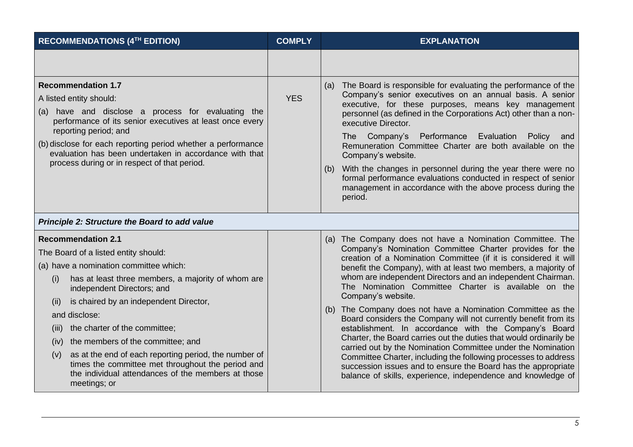| RECOMMENDATIONS (4TH EDITION)                                                                                                                                                                                                                                                                                                                                                                                                                                                                                                                               | <b>COMPLY</b> | <b>EXPLANATION</b>                                                                                                                                                                                                                                                                                                                                                                                                                                                                                                                                                                                                                                                                                                                                                                                                                                                                                                                          |
|-------------------------------------------------------------------------------------------------------------------------------------------------------------------------------------------------------------------------------------------------------------------------------------------------------------------------------------------------------------------------------------------------------------------------------------------------------------------------------------------------------------------------------------------------------------|---------------|---------------------------------------------------------------------------------------------------------------------------------------------------------------------------------------------------------------------------------------------------------------------------------------------------------------------------------------------------------------------------------------------------------------------------------------------------------------------------------------------------------------------------------------------------------------------------------------------------------------------------------------------------------------------------------------------------------------------------------------------------------------------------------------------------------------------------------------------------------------------------------------------------------------------------------------------|
|                                                                                                                                                                                                                                                                                                                                                                                                                                                                                                                                                             |               |                                                                                                                                                                                                                                                                                                                                                                                                                                                                                                                                                                                                                                                                                                                                                                                                                                                                                                                                             |
| <b>Recommendation 1.7</b><br>A listed entity should:<br>(a) have and disclose a process for evaluating the<br>performance of its senior executives at least once every<br>reporting period; and<br>(b) disclose for each reporting period whether a performance<br>evaluation has been undertaken in accordance with that<br>process during or in respect of that period.                                                                                                                                                                                   | <b>YES</b>    | (a) The Board is responsible for evaluating the performance of the<br>Company's senior executives on an annual basis. A senior<br>executive, for these purposes, means key management<br>personnel (as defined in the Corporations Act) other than a non-<br>executive Director.<br>Performance Evaluation<br>Company's<br>Policy<br>The<br>and<br>Remuneration Committee Charter are both available on the<br>Company's website.<br>With the changes in personnel during the year there were no<br>(b)<br>formal performance evaluations conducted in respect of senior<br>management in accordance with the above process during the<br>period.                                                                                                                                                                                                                                                                                           |
| Principle 2: Structure the Board to add value                                                                                                                                                                                                                                                                                                                                                                                                                                                                                                               |               |                                                                                                                                                                                                                                                                                                                                                                                                                                                                                                                                                                                                                                                                                                                                                                                                                                                                                                                                             |
| <b>Recommendation 2.1</b><br>The Board of a listed entity should:<br>(a) have a nomination committee which:<br>has at least three members, a majority of whom are<br>(i)<br>independent Directors; and<br>is chaired by an independent Director,<br>(11)<br>and disclose:<br>the charter of the committee;<br>(III)<br>the members of the committee; and<br>(iv)<br>as at the end of each reporting period, the number of<br>(v)<br>times the committee met throughout the period and<br>the individual attendances of the members at those<br>meetings; or |               | (a) The Company does not have a Nomination Committee. The<br>Company's Nomination Committee Charter provides for the<br>creation of a Nomination Committee (if it is considered it will<br>benefit the Company), with at least two members, a majority of<br>whom are independent Directors and an independent Chairman.<br>The Nomination Committee Charter is available on the<br>Company's website.<br>(b) The Company does not have a Nomination Committee as the<br>Board considers the Company will not currently benefit from its<br>establishment. In accordance with the Company's Board<br>Charter, the Board carries out the duties that would ordinarily be<br>carried out by the Nomination Committee under the Nomination<br>Committee Charter, including the following processes to address<br>succession issues and to ensure the Board has the appropriate<br>balance of skills, experience, independence and knowledge of |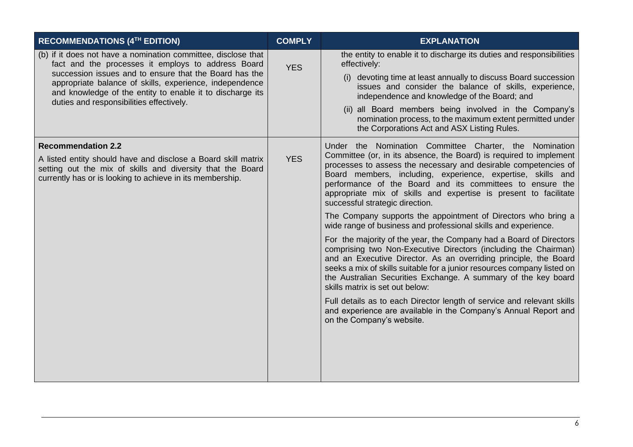| RECOMMENDATIONS (4TH EDITION)                                                                                                                                                                                                                                                                                                                     | <b>COMPLY</b> | <b>EXPLANATION</b>                                                                                                                                                                                                                                                                                                                                                                                                                                                                                                                                                                                                                                                                                                                                                                                                                                                                                                                                                                                                                                                                                                                           |
|---------------------------------------------------------------------------------------------------------------------------------------------------------------------------------------------------------------------------------------------------------------------------------------------------------------------------------------------------|---------------|----------------------------------------------------------------------------------------------------------------------------------------------------------------------------------------------------------------------------------------------------------------------------------------------------------------------------------------------------------------------------------------------------------------------------------------------------------------------------------------------------------------------------------------------------------------------------------------------------------------------------------------------------------------------------------------------------------------------------------------------------------------------------------------------------------------------------------------------------------------------------------------------------------------------------------------------------------------------------------------------------------------------------------------------------------------------------------------------------------------------------------------------|
| (b) if it does not have a nomination committee, disclose that<br>fact and the processes it employs to address Board<br>succession issues and to ensure that the Board has the<br>appropriate balance of skills, experience, independence<br>and knowledge of the entity to enable it to discharge its<br>duties and responsibilities effectively. | <b>YES</b>    | the entity to enable it to discharge its duties and responsibilities<br>effectively:<br>(i) devoting time at least annually to discuss Board succession<br>issues and consider the balance of skills, experience,<br>independence and knowledge of the Board; and<br>(ii) all Board members being involved in the Company's<br>nomination process, to the maximum extent permitted under<br>the Corporations Act and ASX Listing Rules.                                                                                                                                                                                                                                                                                                                                                                                                                                                                                                                                                                                                                                                                                                      |
| <b>Recommendation 2.2</b><br>A listed entity should have and disclose a Board skill matrix<br>setting out the mix of skills and diversity that the Board<br>currently has or is looking to achieve in its membership.                                                                                                                             | <b>YES</b>    | Under the Nomination Committee Charter, the Nomination<br>Committee (or, in its absence, the Board) is required to implement<br>processes to assess the necessary and desirable competencies of<br>Board members, including, experience, expertise, skills and<br>performance of the Board and its committees to ensure the<br>appropriate mix of skills and expertise is present to facilitate<br>successful strategic direction.<br>The Company supports the appointment of Directors who bring a<br>wide range of business and professional skills and experience.<br>For the majority of the year, the Company had a Board of Directors<br>comprising two Non-Executive Directors (including the Chairman)<br>and an Executive Director. As an overriding principle, the Board<br>seeks a mix of skills suitable for a junior resources company listed on<br>the Australian Securities Exchange. A summary of the key board<br>skills matrix is set out below:<br>Full details as to each Director length of service and relevant skills<br>and experience are available in the Company's Annual Report and<br>on the Company's website. |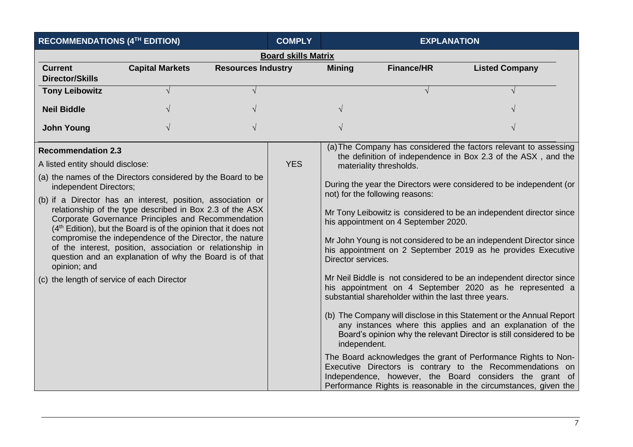| RECOMMENDATIONS (4TH EDITION)                                                                                                                                                                                                                                                                                                                                                                                                                                                                                                                                                                                                                                            | <b>COMPLY</b>          |                           | <b>EXPLANATION</b> |                                    |                                                                                                                                                            |                                                                                                                                                                                                                                                                                                                                                                                                                                                                                                                                                                                                                                                                                                                                                                                                                                                                                                                                                                                                                                      |
|--------------------------------------------------------------------------------------------------------------------------------------------------------------------------------------------------------------------------------------------------------------------------------------------------------------------------------------------------------------------------------------------------------------------------------------------------------------------------------------------------------------------------------------------------------------------------------------------------------------------------------------------------------------------------|------------------------|---------------------------|--------------------|------------------------------------|------------------------------------------------------------------------------------------------------------------------------------------------------------|--------------------------------------------------------------------------------------------------------------------------------------------------------------------------------------------------------------------------------------------------------------------------------------------------------------------------------------------------------------------------------------------------------------------------------------------------------------------------------------------------------------------------------------------------------------------------------------------------------------------------------------------------------------------------------------------------------------------------------------------------------------------------------------------------------------------------------------------------------------------------------------------------------------------------------------------------------------------------------------------------------------------------------------|
| <b>Board skills Matrix</b>                                                                                                                                                                                                                                                                                                                                                                                                                                                                                                                                                                                                                                               |                        |                           |                    |                                    |                                                                                                                                                            |                                                                                                                                                                                                                                                                                                                                                                                                                                                                                                                                                                                                                                                                                                                                                                                                                                                                                                                                                                                                                                      |
| <b>Current</b><br><b>Director/Skills</b>                                                                                                                                                                                                                                                                                                                                                                                                                                                                                                                                                                                                                                 | <b>Capital Markets</b> | <b>Resources Industry</b> |                    | <b>Mining</b>                      | <b>Finance/HR</b>                                                                                                                                          | <b>Listed Company</b>                                                                                                                                                                                                                                                                                                                                                                                                                                                                                                                                                                                                                                                                                                                                                                                                                                                                                                                                                                                                                |
| <b>Tony Leibowitz</b>                                                                                                                                                                                                                                                                                                                                                                                                                                                                                                                                                                                                                                                    |                        |                           |                    |                                    |                                                                                                                                                            |                                                                                                                                                                                                                                                                                                                                                                                                                                                                                                                                                                                                                                                                                                                                                                                                                                                                                                                                                                                                                                      |
| <b>Neil Biddle</b>                                                                                                                                                                                                                                                                                                                                                                                                                                                                                                                                                                                                                                                       |                        |                           |                    |                                    |                                                                                                                                                            |                                                                                                                                                                                                                                                                                                                                                                                                                                                                                                                                                                                                                                                                                                                                                                                                                                                                                                                                                                                                                                      |
| <b>John Young</b>                                                                                                                                                                                                                                                                                                                                                                                                                                                                                                                                                                                                                                                        |                        |                           |                    |                                    |                                                                                                                                                            |                                                                                                                                                                                                                                                                                                                                                                                                                                                                                                                                                                                                                                                                                                                                                                                                                                                                                                                                                                                                                                      |
| <b>Recommendation 2.3</b><br>A listed entity should disclose:<br>(a) the names of the Directors considered by the Board to be<br>independent Directors;<br>(b) if a Director has an interest, position, association or<br>relationship of the type described in Box 2.3 of the ASX<br>Corporate Governance Principles and Recommendation<br>(4 <sup>th</sup> Edition), but the Board is of the opinion that it does not<br>compromise the independence of the Director, the nature<br>of the interest, position, association or relationship in<br>question and an explanation of why the Board is of that<br>opinion; and<br>(c) the length of service of each Director |                        |                           | <b>YES</b>         | Director services.<br>independent. | materiality thresholds.<br>not) for the following reasons:<br>his appointment on 4 September 2020.<br>substantial shareholder within the last three years. | (a) The Company has considered the factors relevant to assessing<br>the definition of independence in Box 2.3 of the ASX, and the<br>During the year the Directors were considered to be independent (or<br>Mr Tony Leibowitz is considered to be an independent director since<br>Mr John Young is not considered to be an independent Director since<br>his appointment on 2 September 2019 as he provides Executive<br>Mr Neil Biddle is not considered to be an independent director since<br>his appointment on 4 September 2020 as he represented a<br>(b) The Company will disclose in this Statement or the Annual Report<br>any instances where this applies and an explanation of the<br>Board's opinion why the relevant Director is still considered to be<br>The Board acknowledges the grant of Performance Rights to Non-<br>Executive Directors is contrary to the Recommendations on<br>Independence, however, the Board considers the grant of<br>Performance Rights is reasonable in the circumstances, given the |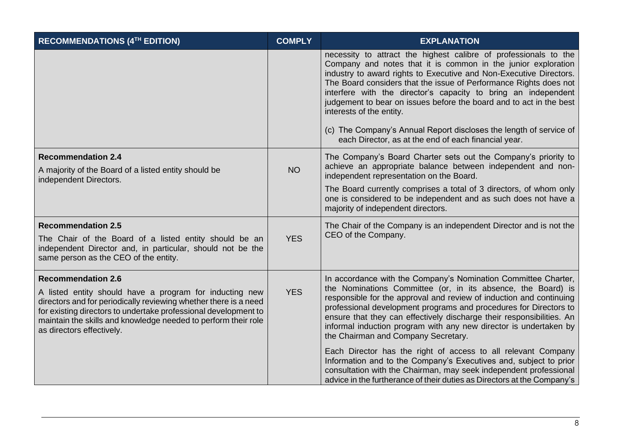| RECOMMENDATIONS (4TH EDITION)                                                                                                                                                                                                                                                                                              | <b>COMPLY</b> | <b>EXPLANATION</b>                                                                                                                                                                                                                                                                                                                                                                                                                                                                                                                                                              |
|----------------------------------------------------------------------------------------------------------------------------------------------------------------------------------------------------------------------------------------------------------------------------------------------------------------------------|---------------|---------------------------------------------------------------------------------------------------------------------------------------------------------------------------------------------------------------------------------------------------------------------------------------------------------------------------------------------------------------------------------------------------------------------------------------------------------------------------------------------------------------------------------------------------------------------------------|
|                                                                                                                                                                                                                                                                                                                            |               | necessity to attract the highest calibre of professionals to the<br>Company and notes that it is common in the junior exploration<br>industry to award rights to Executive and Non-Executive Directors.<br>The Board considers that the issue of Performance Rights does not<br>interfere with the director's capacity to bring an independent<br>judgement to bear on issues before the board and to act in the best<br>interests of the entity.<br>(c) The Company's Annual Report discloses the length of service of<br>each Director, as at the end of each financial year. |
| <b>Recommendation 2.4</b><br>A majority of the Board of a listed entity should be<br>independent Directors.                                                                                                                                                                                                                | <b>NO</b>     | The Company's Board Charter sets out the Company's priority to<br>achieve an appropriate balance between independent and non-<br>independent representation on the Board.<br>The Board currently comprises a total of 3 directors, of whom only                                                                                                                                                                                                                                                                                                                                 |
|                                                                                                                                                                                                                                                                                                                            |               | one is considered to be independent and as such does not have a<br>majority of independent directors.                                                                                                                                                                                                                                                                                                                                                                                                                                                                           |
| <b>Recommendation 2.5</b><br>The Chair of the Board of a listed entity should be an<br>independent Director and, in particular, should not be the<br>same person as the CEO of the entity.                                                                                                                                 | <b>YES</b>    | The Chair of the Company is an independent Director and is not the<br>CEO of the Company.                                                                                                                                                                                                                                                                                                                                                                                                                                                                                       |
| <b>Recommendation 2.6</b><br>A listed entity should have a program for inducting new<br>directors and for periodically reviewing whether there is a need<br>for existing directors to undertake professional development to<br>maintain the skills and knowledge needed to perform their role<br>as directors effectively. | <b>YES</b>    | In accordance with the Company's Nomination Committee Charter,<br>the Nominations Committee (or, in its absence, the Board) is<br>responsible for the approval and review of induction and continuing<br>professional development programs and procedures for Directors to<br>ensure that they can effectively discharge their responsibilities. An<br>informal induction program with any new director is undertaken by<br>the Chairman and Company Secretary.                                                                                                                 |
|                                                                                                                                                                                                                                                                                                                            |               | Each Director has the right of access to all relevant Company<br>Information and to the Company's Executives and, subject to prior<br>consultation with the Chairman, may seek independent professional<br>advice in the furtherance of their duties as Directors at the Company's                                                                                                                                                                                                                                                                                              |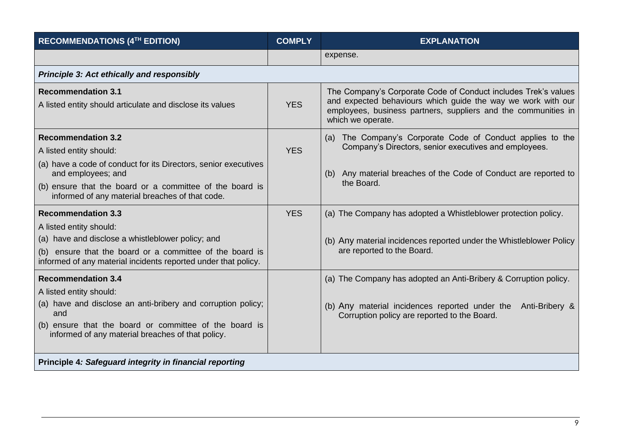| <b>RECOMMENDATIONS (4TH EDITION)</b>                                                                                                                                                                                                       | <b>COMPLY</b> | <b>EXPLANATION</b>                                                                                                                                                                                                    |  |
|--------------------------------------------------------------------------------------------------------------------------------------------------------------------------------------------------------------------------------------------|---------------|-----------------------------------------------------------------------------------------------------------------------------------------------------------------------------------------------------------------------|--|
|                                                                                                                                                                                                                                            |               | expense.                                                                                                                                                                                                              |  |
| <b>Principle 3: Act ethically and responsibly</b>                                                                                                                                                                                          |               |                                                                                                                                                                                                                       |  |
| <b>Recommendation 3.1</b><br>A listed entity should articulate and disclose its values                                                                                                                                                     | <b>YES</b>    | The Company's Corporate Code of Conduct includes Trek's values<br>and expected behaviours which guide the way we work with our<br>employees, business partners, suppliers and the communities in<br>which we operate. |  |
| <b>Recommendation 3.2</b><br>A listed entity should:<br>(a) have a code of conduct for its Directors, senior executives<br>and employees; and<br>(b) ensure that the board or a committee of the board is                                  | <b>YES</b>    | (a) The Company's Corporate Code of Conduct applies to the<br>Company's Directors, senior executives and employees.<br>(b) Any material breaches of the Code of Conduct are reported to<br>the Board.                 |  |
| informed of any material breaches of that code.<br><b>Recommendation 3.3</b><br>A listed entity should:<br>(a) have and disclose a whistleblower policy; and                                                                               | <b>YES</b>    | (a) The Company has adopted a Whistleblower protection policy.<br>(b) Any material incidences reported under the Whistleblower Policy                                                                                 |  |
| (b) ensure that the board or a committee of the board is<br>informed of any material incidents reported under that policy.                                                                                                                 |               | are reported to the Board.                                                                                                                                                                                            |  |
| <b>Recommendation 3.4</b><br>A listed entity should:<br>(a) have and disclose an anti-bribery and corruption policy;<br>and<br>(b) ensure that the board or committee of the board is<br>informed of any material breaches of that policy. |               | (a) The Company has adopted an Anti-Bribery & Corruption policy.<br>(b) Any material incidences reported under the<br>Anti-Bribery &<br>Corruption policy are reported to the Board.                                  |  |
| Principle 4: Safeguard integrity in financial reporting                                                                                                                                                                                    |               |                                                                                                                                                                                                                       |  |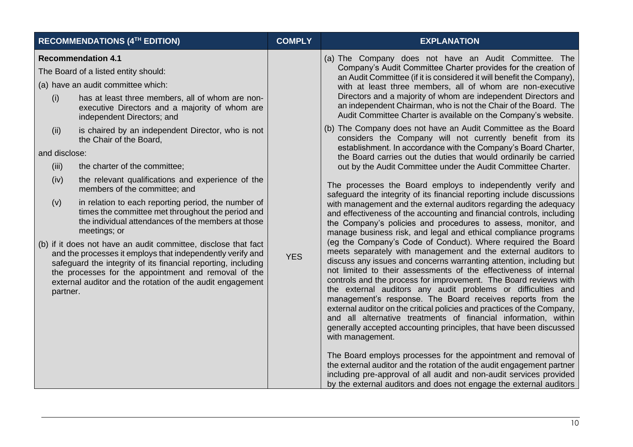| <b>RECOMMENDATIONS (4TH EDITION)</b>                                                                                                                                                                                                                                                                                                                                                                                                                                                                                                                                                                                                                                                                                                                                                                                                                                                                                                                                                                                           | <b>COMPLY</b> | <b>EXPLANATION</b>                                                                                                                                                                                                                                                                                                                                                                                                                                                                                                                                                                                                                                                                                                                                                                                                                                                                                                                                                                                                                                                                                                                                                                                                                                                                                                                                                                                                                                                                                                                                                                                                                                                                                                                                                                                                                                                                                                                                                                                                                                                                                      |
|--------------------------------------------------------------------------------------------------------------------------------------------------------------------------------------------------------------------------------------------------------------------------------------------------------------------------------------------------------------------------------------------------------------------------------------------------------------------------------------------------------------------------------------------------------------------------------------------------------------------------------------------------------------------------------------------------------------------------------------------------------------------------------------------------------------------------------------------------------------------------------------------------------------------------------------------------------------------------------------------------------------------------------|---------------|---------------------------------------------------------------------------------------------------------------------------------------------------------------------------------------------------------------------------------------------------------------------------------------------------------------------------------------------------------------------------------------------------------------------------------------------------------------------------------------------------------------------------------------------------------------------------------------------------------------------------------------------------------------------------------------------------------------------------------------------------------------------------------------------------------------------------------------------------------------------------------------------------------------------------------------------------------------------------------------------------------------------------------------------------------------------------------------------------------------------------------------------------------------------------------------------------------------------------------------------------------------------------------------------------------------------------------------------------------------------------------------------------------------------------------------------------------------------------------------------------------------------------------------------------------------------------------------------------------------------------------------------------------------------------------------------------------------------------------------------------------------------------------------------------------------------------------------------------------------------------------------------------------------------------------------------------------------------------------------------------------------------------------------------------------------------------------------------------------|
| <b>Recommendation 4.1</b><br>The Board of a listed entity should:<br>(a) have an audit committee which:<br>(i)<br>has at least three members, all of whom are non-<br>executive Directors and a majority of whom are<br>independent Directors; and<br>is chaired by an independent Director, who is not<br>(ii)<br>the Chair of the Board,<br>and disclose:<br>the charter of the committee;<br>(iii)<br>the relevant qualifications and experience of the<br>(iv)<br>members of the committee; and<br>in relation to each reporting period, the number of<br>(v)<br>times the committee met throughout the period and<br>the individual attendances of the members at those<br>meetings; or<br>(b) if it does not have an audit committee, disclose that fact<br>and the processes it employs that independently verify and<br>safeguard the integrity of its financial reporting, including<br>the processes for the appointment and removal of the<br>external auditor and the rotation of the audit engagement<br>partner. | <b>YES</b>    | (a) The Company does not have an Audit Committee. The<br>Company's Audit Committee Charter provides for the creation of<br>an Audit Committee (if it is considered it will benefit the Company),<br>with at least three members, all of whom are non-executive<br>Directors and a majority of whom are independent Directors and<br>an independent Chairman, who is not the Chair of the Board. The<br>Audit Committee Charter is available on the Company's website.<br>(b) The Company does not have an Audit Committee as the Board<br>considers the Company will not currently benefit from its<br>establishment. In accordance with the Company's Board Charter,<br>the Board carries out the duties that would ordinarily be carried<br>out by the Audit Committee under the Audit Committee Charter.<br>The processes the Board employs to independently verify and<br>safeguard the integrity of its financial reporting include discussions<br>with management and the external auditors regarding the adequacy<br>and effectiveness of the accounting and financial controls, including<br>the Company's policies and procedures to assess, monitor, and<br>manage business risk, and legal and ethical compliance programs<br>(eg the Company's Code of Conduct). Where required the Board<br>meets separately with management and the external auditors to<br>discuss any issues and concerns warranting attention, including but<br>not limited to their assessments of the effectiveness of internal<br>controls and the process for improvement. The Board reviews with<br>the external auditors any audit problems or difficulties and<br>management's response. The Board receives reports from the<br>external auditor on the critical policies and practices of the Company,<br>and all alternative treatments of financial information, within<br>generally accepted accounting principles, that have been discussed<br>with management.<br>The Board employs processes for the appointment and removal of<br>the external auditor and the rotation of the audit engagement partner |
|                                                                                                                                                                                                                                                                                                                                                                                                                                                                                                                                                                                                                                                                                                                                                                                                                                                                                                                                                                                                                                |               | including pre-approval of all audit and non-audit services provided<br>by the external auditors and does not engage the external auditors                                                                                                                                                                                                                                                                                                                                                                                                                                                                                                                                                                                                                                                                                                                                                                                                                                                                                                                                                                                                                                                                                                                                                                                                                                                                                                                                                                                                                                                                                                                                                                                                                                                                                                                                                                                                                                                                                                                                                               |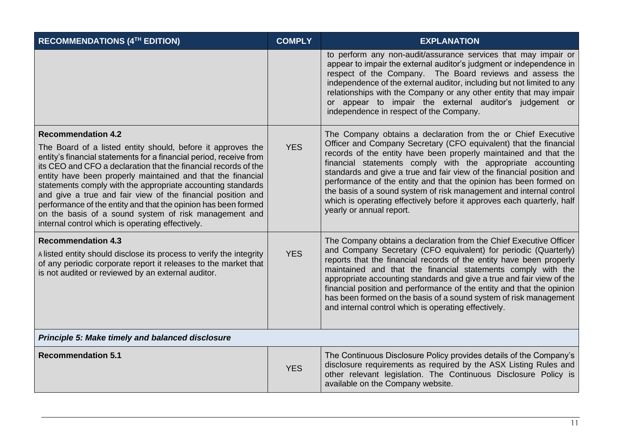| RECOMMENDATIONS (4TH EDITION)                                                                                                                                                                                                                                                                                                                                                                                                                                                                                                                                                                                 | <b>COMPLY</b> | <b>EXPLANATION</b>                                                                                                                                                                                                                                                                                                                                                                                                                                                                                                                                                                               |
|---------------------------------------------------------------------------------------------------------------------------------------------------------------------------------------------------------------------------------------------------------------------------------------------------------------------------------------------------------------------------------------------------------------------------------------------------------------------------------------------------------------------------------------------------------------------------------------------------------------|---------------|--------------------------------------------------------------------------------------------------------------------------------------------------------------------------------------------------------------------------------------------------------------------------------------------------------------------------------------------------------------------------------------------------------------------------------------------------------------------------------------------------------------------------------------------------------------------------------------------------|
|                                                                                                                                                                                                                                                                                                                                                                                                                                                                                                                                                                                                               |               | to perform any non-audit/assurance services that may impair or<br>appear to impair the external auditor's judgment or independence in<br>respect of the Company. The Board reviews and assess the<br>independence of the external auditor, including but not limited to any<br>relationships with the Company or any other entity that may impair<br>or appear to impair the external auditor's judgement or<br>independence in respect of the Company.                                                                                                                                          |
| <b>Recommendation 4.2</b><br>The Board of a listed entity should, before it approves the<br>entity's financial statements for a financial period, receive from<br>its CEO and CFO a declaration that the financial records of the<br>entity have been properly maintained and that the financial<br>statements comply with the appropriate accounting standards<br>and give a true and fair view of the financial position and<br>performance of the entity and that the opinion has been formed<br>on the basis of a sound system of risk management and<br>internal control which is operating effectively. | <b>YES</b>    | The Company obtains a declaration from the or Chief Executive<br>Officer and Company Secretary (CFO equivalent) that the financial<br>records of the entity have been properly maintained and that the<br>financial statements comply with the appropriate accounting<br>standards and give a true and fair view of the financial position and<br>performance of the entity and that the opinion has been formed on<br>the basis of a sound system of risk management and internal control<br>which is operating effectively before it approves each quarterly, half<br>yearly or annual report. |
| <b>Recommendation 4.3</b><br>A listed entity should disclose its process to verify the integrity<br>of any periodic corporate report it releases to the market that<br>is not audited or reviewed by an external auditor.                                                                                                                                                                                                                                                                                                                                                                                     | <b>YES</b>    | The Company obtains a declaration from the Chief Executive Officer<br>and Company Secretary (CFO equivalent) for periodic (Quarterly)<br>reports that the financial records of the entity have been properly<br>maintained and that the financial statements comply with the<br>appropriate accounting standards and give a true and fair view of the<br>financial position and performance of the entity and that the opinion<br>has been formed on the basis of a sound system of risk management<br>and internal control which is operating effectively.                                      |
| Principle 5: Make timely and balanced disclosure                                                                                                                                                                                                                                                                                                                                                                                                                                                                                                                                                              |               |                                                                                                                                                                                                                                                                                                                                                                                                                                                                                                                                                                                                  |
| <b>Recommendation 5.1</b>                                                                                                                                                                                                                                                                                                                                                                                                                                                                                                                                                                                     | <b>YES</b>    | The Continuous Disclosure Policy provides details of the Company's<br>disclosure requirements as required by the ASX Listing Rules and<br>other relevant legislation. The Continuous Disclosure Policy is<br>available on the Company website.                                                                                                                                                                                                                                                                                                                                                   |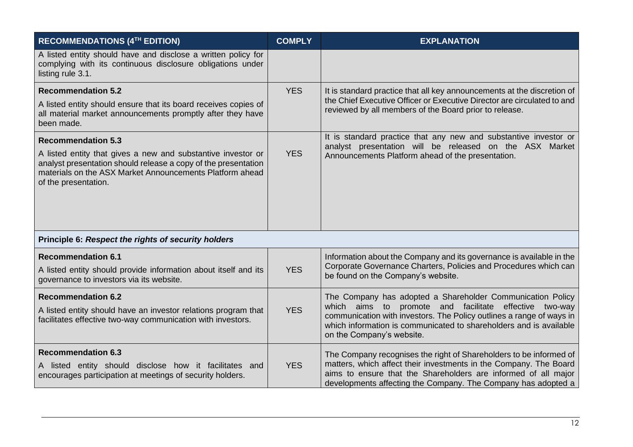| <b>RECOMMENDATIONS (4TH EDITION)</b>                                                                                                                                                                               | <b>COMPLY</b> | <b>EXPLANATION</b>                                                                                                                                                                                                                   |
|--------------------------------------------------------------------------------------------------------------------------------------------------------------------------------------------------------------------|---------------|--------------------------------------------------------------------------------------------------------------------------------------------------------------------------------------------------------------------------------------|
| A listed entity should have and disclose a written policy for<br>complying with its continuous disclosure obligations under<br>listing rule 3.1.                                                                   |               |                                                                                                                                                                                                                                      |
| <b>Recommendation 5.2</b>                                                                                                                                                                                          | <b>YES</b>    | It is standard practice that all key announcements at the discretion of<br>the Chief Executive Officer or Executive Director are circulated to and                                                                                   |
| A listed entity should ensure that its board receives copies of<br>all material market announcements promptly after they have<br>been made.                                                                        |               | reviewed by all members of the Board prior to release.                                                                                                                                                                               |
| <b>Recommendation 5.3</b>                                                                                                                                                                                          |               | It is standard practice that any new and substantive investor or<br>analyst presentation will be released on the ASX Market                                                                                                          |
| A listed entity that gives a new and substantive investor or<br>analyst presentation should release a copy of the presentation<br>materials on the ASX Market Announcements Platform ahead<br>of the presentation. | <b>YES</b>    | Announcements Platform ahead of the presentation.                                                                                                                                                                                    |
|                                                                                                                                                                                                                    |               |                                                                                                                                                                                                                                      |
| Principle 6: Respect the rights of security holders                                                                                                                                                                |               |                                                                                                                                                                                                                                      |
| <b>Recommendation 6.1</b><br>A listed entity should provide information about itself and its<br>governance to investors via its website.                                                                           | <b>YES</b>    | Information about the Company and its governance is available in the<br>Corporate Governance Charters, Policies and Procedures which can<br>be found on the Company's website.                                                       |
| <b>Recommendation 6.2</b>                                                                                                                                                                                          |               | The Company has adopted a Shareholder Communication Policy                                                                                                                                                                           |
| A listed entity should have an investor relations program that<br>facilitates effective two-way communication with investors.                                                                                      | <b>YES</b>    | which aims to<br>promote and facilitate effective two-way<br>communication with investors. The Policy outlines a range of ways in<br>which information is communicated to shareholders and is available<br>on the Company's website. |
| <b>Recommendation 6.3</b>                                                                                                                                                                                          |               | The Company recognises the right of Shareholders to be informed of                                                                                                                                                                   |
| A listed entity should disclose how it facilitates and<br>encourages participation at meetings of security holders.                                                                                                | <b>YES</b>    | matters, which affect their investments in the Company. The Board<br>aims to ensure that the Shareholders are informed of all major<br>developments affecting the Company. The Company has adopted a                                 |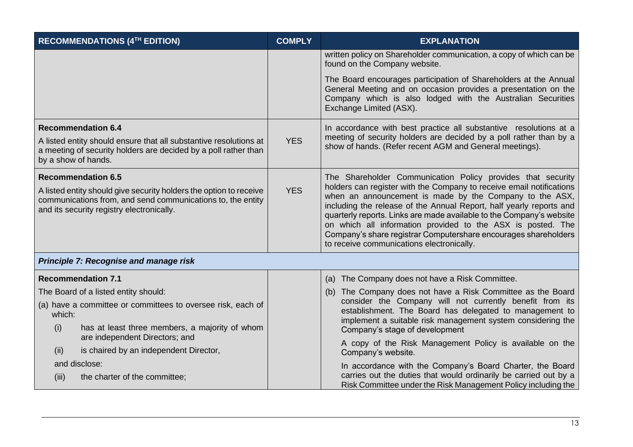| RECOMMENDATIONS (4TH EDITION)                                                                                                                                                  | <b>COMPLY</b> | <b>EXPLANATION</b>                                                                                                                                                                                                                                                                                                                                                                    |
|--------------------------------------------------------------------------------------------------------------------------------------------------------------------------------|---------------|---------------------------------------------------------------------------------------------------------------------------------------------------------------------------------------------------------------------------------------------------------------------------------------------------------------------------------------------------------------------------------------|
|                                                                                                                                                                                |               | written policy on Shareholder communication, a copy of which can be<br>found on the Company website.                                                                                                                                                                                                                                                                                  |
|                                                                                                                                                                                |               | The Board encourages participation of Shareholders at the Annual<br>General Meeting and on occasion provides a presentation on the<br>Company which is also lodged with the Australian Securities<br>Exchange Limited (ASX).                                                                                                                                                          |
| <b>Recommendation 6.4</b>                                                                                                                                                      |               | In accordance with best practice all substantive resolutions at a                                                                                                                                                                                                                                                                                                                     |
| A listed entity should ensure that all substantive resolutions at<br>a meeting of security holders are decided by a poll rather than<br>by a show of hands.                    | <b>YES</b>    | meeting of security holders are decided by a poll rather than by a<br>show of hands. (Refer recent AGM and General meetings).                                                                                                                                                                                                                                                         |
| <b>Recommendation 6.5</b>                                                                                                                                                      | <b>YES</b>    | The Shareholder Communication Policy provides that security<br>holders can register with the Company to receive email notifications                                                                                                                                                                                                                                                   |
| A listed entity should give security holders the option to receive<br>communications from, and send communications to, the entity<br>and its security registry electronically. |               | when an announcement is made by the Company to the ASX,<br>including the release of the Annual Report, half yearly reports and<br>quarterly reports. Links are made available to the Company's website<br>on which all information provided to the ASX is posted. The<br>Company's share registrar Computershare encourages shareholders<br>to receive communications electronically. |
| Principle 7: Recognise and manage risk                                                                                                                                         |               |                                                                                                                                                                                                                                                                                                                                                                                       |
| <b>Recommendation 7.1</b>                                                                                                                                                      |               | (a) The Company does not have a Risk Committee.                                                                                                                                                                                                                                                                                                                                       |
| The Board of a listed entity should:                                                                                                                                           |               | (b) The Company does not have a Risk Committee as the Board                                                                                                                                                                                                                                                                                                                           |
| (a) have a committee or committees to oversee risk, each of<br>which:                                                                                                          |               | consider the Company will not currently benefit from its<br>establishment. The Board has delegated to management to<br>implement a suitable risk management system considering the                                                                                                                                                                                                    |
| (i)<br>has at least three members, a majority of whom<br>are independent Directors; and                                                                                        |               | Company's stage of development                                                                                                                                                                                                                                                                                                                                                        |
| is chaired by an independent Director,<br>(ii)                                                                                                                                 |               | A copy of the Risk Management Policy is available on the<br>Company's website.                                                                                                                                                                                                                                                                                                        |
| and disclose:                                                                                                                                                                  |               | In accordance with the Company's Board Charter, the Board                                                                                                                                                                                                                                                                                                                             |
| the charter of the committee;<br>(iii)                                                                                                                                         |               | carries out the duties that would ordinarily be carried out by a<br>Risk Committee under the Risk Management Policy including the                                                                                                                                                                                                                                                     |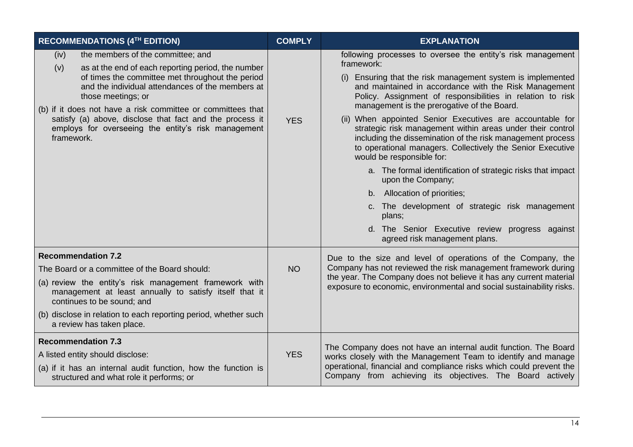| RECOMMENDATIONS (4TH EDITION)                                                                                                                                                                                                                                                                                                                                                                                                        | <b>COMPLY</b> | <b>EXPLANATION</b>                                                                                                                                                                                                                                                                                                                                                                                                                                                                                                                                                                                                                                                                                                                                                                                                                                                         |
|--------------------------------------------------------------------------------------------------------------------------------------------------------------------------------------------------------------------------------------------------------------------------------------------------------------------------------------------------------------------------------------------------------------------------------------|---------------|----------------------------------------------------------------------------------------------------------------------------------------------------------------------------------------------------------------------------------------------------------------------------------------------------------------------------------------------------------------------------------------------------------------------------------------------------------------------------------------------------------------------------------------------------------------------------------------------------------------------------------------------------------------------------------------------------------------------------------------------------------------------------------------------------------------------------------------------------------------------------|
| the members of the committee; and<br>(iv)<br>(v)<br>as at the end of each reporting period, the number<br>of times the committee met throughout the period<br>and the individual attendances of the members at<br>those meetings; or<br>(b) if it does not have a risk committee or committees that<br>satisfy (a) above, disclose that fact and the process it<br>employs for overseeing the entity's risk management<br>framework. | <b>YES</b>    | following processes to oversee the entity's risk management<br>framework:<br>Ensuring that the risk management system is implemented<br>(i)<br>and maintained in accordance with the Risk Management<br>Policy. Assignment of responsibilities in relation to risk<br>management is the prerogative of the Board.<br>(ii) When appointed Senior Executives are accountable for<br>strategic risk management within areas under their control<br>including the dissemination of the risk management process<br>to operational managers. Collectively the Senior Executive<br>would be responsible for:<br>a. The formal identification of strategic risks that impact<br>upon the Company;<br>b. Allocation of priorities;<br>c. The development of strategic risk management<br>plans;<br>d. The Senior Executive review progress against<br>agreed risk management plans. |
| <b>Recommendation 7.2</b><br>The Board or a committee of the Board should:<br>(a) review the entity's risk management framework with<br>management at least annually to satisfy itself that it<br>continues to be sound; and<br>(b) disclose in relation to each reporting period, whether such<br>a review has taken place.                                                                                                         | <b>NO</b>     | Due to the size and level of operations of the Company, the<br>Company has not reviewed the risk management framework during<br>the year. The Company does not believe it has any current material<br>exposure to economic, environmental and social sustainability risks.                                                                                                                                                                                                                                                                                                                                                                                                                                                                                                                                                                                                 |
| <b>Recommendation 7.3</b><br>A listed entity should disclose:<br>(a) if it has an internal audit function, how the function is<br>structured and what role it performs; or                                                                                                                                                                                                                                                           | <b>YES</b>    | The Company does not have an internal audit function. The Board<br>works closely with the Management Team to identify and manage<br>operational, financial and compliance risks which could prevent the<br>Company from achieving its objectives. The Board actively                                                                                                                                                                                                                                                                                                                                                                                                                                                                                                                                                                                                       |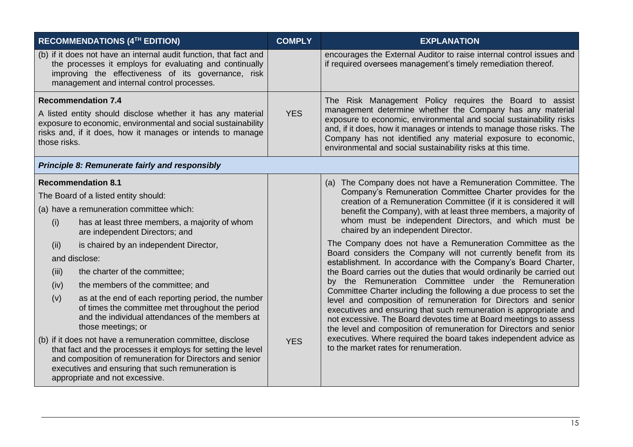|                                                                                                                                                                                                            | RECOMMENDATIONS (4TH EDITION)                                                                                                                                                                                                                                                 | <b>COMPLY</b> | <b>EXPLANATION</b>                                                                                                                                                                                                                                                                                                                                                                                        |     |                                                                                  |
|------------------------------------------------------------------------------------------------------------------------------------------------------------------------------------------------------------|-------------------------------------------------------------------------------------------------------------------------------------------------------------------------------------------------------------------------------------------------------------------------------|---------------|-----------------------------------------------------------------------------------------------------------------------------------------------------------------------------------------------------------------------------------------------------------------------------------------------------------------------------------------------------------------------------------------------------------|-----|----------------------------------------------------------------------------------|
|                                                                                                                                                                                                            | (b) if it does not have an internal audit function, that fact and<br>the processes it employs for evaluating and continually<br>improving the effectiveness of its governance, risk<br>management and internal control processes.                                             |               | encourages the External Auditor to raise internal control issues and<br>if required oversees management's timely remediation thereof.                                                                                                                                                                                                                                                                     |     |                                                                                  |
| <b>Recommendation 7.4</b>                                                                                                                                                                                  |                                                                                                                                                                                                                                                                               | <b>YES</b>    | The Risk Management Policy requires the Board to assist<br>management determine whether the Company has any material<br>exposure to economic, environmental and social sustainability risks<br>and, if it does, how it manages or intends to manage those risks. The<br>Company has not identified any material exposure to economic,<br>environmental and social sustainability risks at this time.      |     |                                                                                  |
| A listed entity should disclose whether it has any material<br>exposure to economic, environmental and social sustainability<br>risks and, if it does, how it manages or intends to manage<br>those risks. |                                                                                                                                                                                                                                                                               |               |                                                                                                                                                                                                                                                                                                                                                                                                           |     |                                                                                  |
| <b>Principle 8: Remunerate fairly and responsibly</b>                                                                                                                                                      |                                                                                                                                                                                                                                                                               |               |                                                                                                                                                                                                                                                                                                                                                                                                           |     |                                                                                  |
|                                                                                                                                                                                                            | <b>Recommendation 8.1</b>                                                                                                                                                                                                                                                     |               | (a) The Company does not have a Remuneration Committee. The                                                                                                                                                                                                                                                                                                                                               |     |                                                                                  |
| The Board of a listed entity should:<br>(a) have a remuneration committee which:                                                                                                                           |                                                                                                                                                                                                                                                                               |               | Company's Remuneration Committee Charter provides for the<br>creation of a Remuneration Committee (if it is considered it will<br>benefit the Company), with at least three members, a majority of                                                                                                                                                                                                        |     |                                                                                  |
|                                                                                                                                                                                                            |                                                                                                                                                                                                                                                                               |               |                                                                                                                                                                                                                                                                                                                                                                                                           | (i) | has at least three members, a majority of whom<br>are independent Directors; and |
| (ii)                                                                                                                                                                                                       | is chaired by an independent Director,                                                                                                                                                                                                                                        |               | The Company does not have a Remuneration Committee as the<br>Board considers the Company will not currently benefit from its                                                                                                                                                                                                                                                                              |     |                                                                                  |
|                                                                                                                                                                                                            | and disclose:                                                                                                                                                                                                                                                                 |               | establishment. In accordance with the Company's Board Charter,                                                                                                                                                                                                                                                                                                                                            |     |                                                                                  |
| (iii)                                                                                                                                                                                                      | the charter of the committee;                                                                                                                                                                                                                                                 |               | the Board carries out the duties that would ordinarily be carried out                                                                                                                                                                                                                                                                                                                                     |     |                                                                                  |
| (iv)                                                                                                                                                                                                       | the members of the committee; and                                                                                                                                                                                                                                             |               | by the Remuneration Committee under the Remuneration<br>Committee Charter including the following a due process to set the                                                                                                                                                                                                                                                                                |     |                                                                                  |
| (v)                                                                                                                                                                                                        | as at the end of each reporting period, the number<br>of times the committee met throughout the period<br>and the individual attendances of the members at<br>those meetings; or                                                                                              |               | level and composition of remuneration for Directors and senior<br>executives and ensuring that such remuneration is appropriate and<br>not excessive. The Board devotes time at Board meetings to assess<br>the level and composition of remuneration for Directors and senior<br>executives. Where required the board takes independent advice as<br><b>YES</b><br>to the market rates for renumeration. |     |                                                                                  |
|                                                                                                                                                                                                            | (b) if it does not have a remuneration committee, disclose<br>that fact and the processes it employs for setting the level<br>and composition of remuneration for Directors and senior<br>executives and ensuring that such remuneration is<br>appropriate and not excessive. |               |                                                                                                                                                                                                                                                                                                                                                                                                           |     |                                                                                  |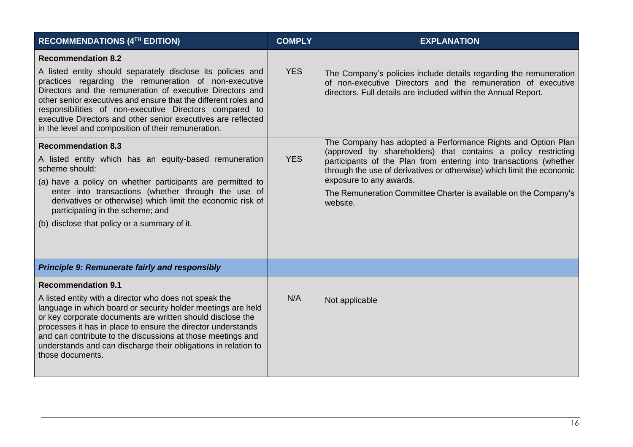| RECOMMENDATIONS (4TH EDITION)                                                                                                                                                                                                                                                                                                                                                                                                                                        | <b>COMPLY</b> | <b>EXPLANATION</b>                                                                                                                                                                                                                                                                                                                                                                     |
|----------------------------------------------------------------------------------------------------------------------------------------------------------------------------------------------------------------------------------------------------------------------------------------------------------------------------------------------------------------------------------------------------------------------------------------------------------------------|---------------|----------------------------------------------------------------------------------------------------------------------------------------------------------------------------------------------------------------------------------------------------------------------------------------------------------------------------------------------------------------------------------------|
| <b>Recommendation 8.2</b><br>A listed entity should separately disclose its policies and<br>practices regarding the remuneration of non-executive<br>Directors and the remuneration of executive Directors and<br>other senior executives and ensure that the different roles and<br>responsibilities of non-executive Directors compared to<br>executive Directors and other senior executives are reflected<br>in the level and composition of their remuneration. | <b>YES</b>    | The Company's policies include details regarding the remuneration<br>of non-executive Directors and the remuneration of executive<br>directors. Full details are included within the Annual Report.                                                                                                                                                                                    |
| <b>Recommendation 8.3</b><br>A listed entity which has an equity-based remuneration<br>scheme should:<br>(a) have a policy on whether participants are permitted to<br>enter into transactions (whether through the use of<br>derivatives or otherwise) which limit the economic risk of<br>participating in the scheme; and<br>(b) disclose that policy or a summary of it.                                                                                         | <b>YES</b>    | The Company has adopted a Performance Rights and Option Plan<br>(approved by shareholders) that contains a policy restricting<br>participants of the Plan from entering into transactions (whether<br>through the use of derivatives or otherwise) which limit the economic<br>exposure to any awards.<br>The Remuneration Committee Charter is available on the Company's<br>website. |
| <b>Principle 9: Remunerate fairly and responsibly</b>                                                                                                                                                                                                                                                                                                                                                                                                                |               |                                                                                                                                                                                                                                                                                                                                                                                        |
| <b>Recommendation 9.1</b><br>A listed entity with a director who does not speak the<br>language in which board or security holder meetings are held<br>or key corporate documents are written should disclose the<br>processes it has in place to ensure the director understands<br>and can contribute to the discussions at those meetings and<br>understands and can discharge their obligations in relation to<br>those documents.                               | N/A           | Not applicable                                                                                                                                                                                                                                                                                                                                                                         |